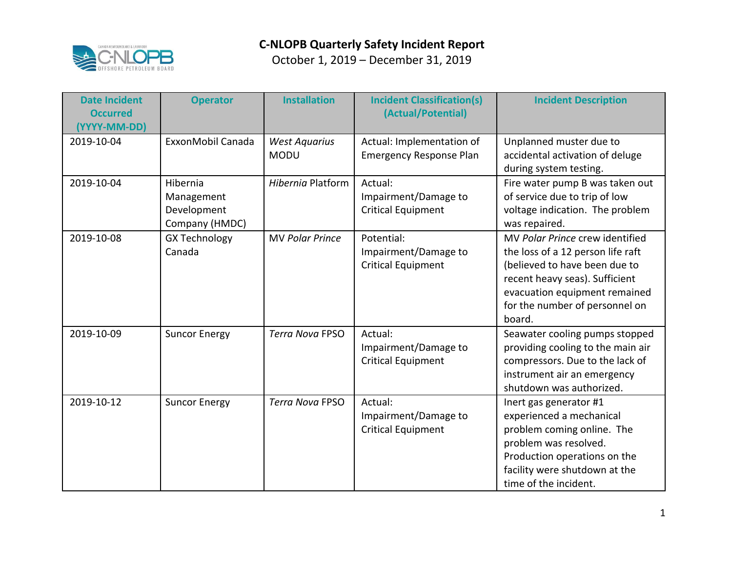

| <b>Date Incident</b><br><b>Occurred</b><br>(YYYY-MM-DD) | <b>Operator</b>                                         | <b>Installation</b>                 | <b>Incident Classification(s)</b><br>(Actual/Potential)         | <b>Incident Description</b>                                                                                                                                                                                          |
|---------------------------------------------------------|---------------------------------------------------------|-------------------------------------|-----------------------------------------------------------------|----------------------------------------------------------------------------------------------------------------------------------------------------------------------------------------------------------------------|
| 2019-10-04                                              | ExxonMobil Canada                                       | <b>West Aquarius</b><br><b>MODU</b> | Actual: Implementation of<br><b>Emergency Response Plan</b>     | Unplanned muster due to<br>accidental activation of deluge<br>during system testing.                                                                                                                                 |
| 2019-10-04                                              | Hibernia<br>Management<br>Development<br>Company (HMDC) | Hibernia Platform                   | Actual:<br>Impairment/Damage to<br><b>Critical Equipment</b>    | Fire water pump B was taken out<br>of service due to trip of low<br>voltage indication. The problem<br>was repaired.                                                                                                 |
| 2019-10-08                                              | <b>GX Technology</b><br>Canada                          | <b>MV Polar Prince</b>              | Potential:<br>Impairment/Damage to<br><b>Critical Equipment</b> | MV Polar Prince crew identified<br>the loss of a 12 person life raft<br>(believed to have been due to<br>recent heavy seas). Sufficient<br>evacuation equipment remained<br>for the number of personnel on<br>board. |
| 2019-10-09                                              | <b>Suncor Energy</b>                                    | <b>Terra Nova FPSO</b>              | Actual:<br>Impairment/Damage to<br><b>Critical Equipment</b>    | Seawater cooling pumps stopped<br>providing cooling to the main air<br>compressors. Due to the lack of<br>instrument air an emergency<br>shutdown was authorized.                                                    |
| 2019-10-12                                              | <b>Suncor Energy</b>                                    | <b>Terra Nova FPSO</b>              | Actual:<br>Impairment/Damage to<br><b>Critical Equipment</b>    | Inert gas generator #1<br>experienced a mechanical<br>problem coming online. The<br>problem was resolved.<br>Production operations on the<br>facility were shutdown at the<br>time of the incident.                  |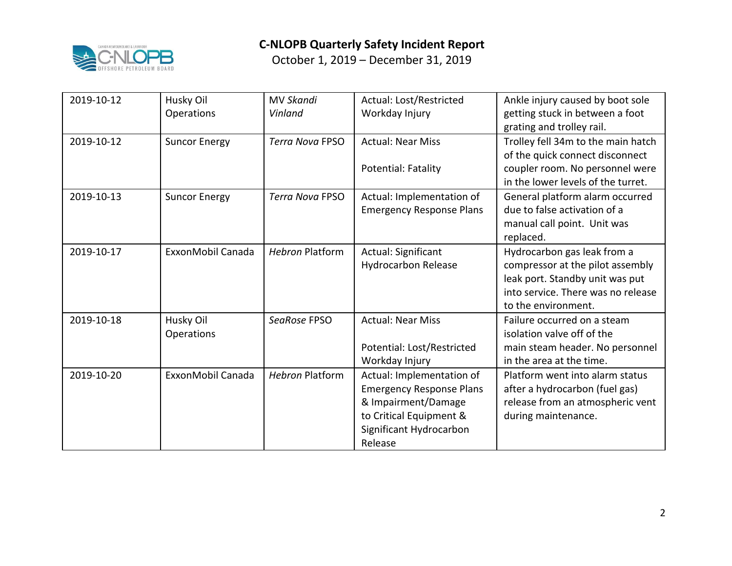

| 2019-10-12 | Husky Oil<br>Operations | <b>MV Skandi</b><br>Vinland | Actual: Lost/Restricted<br>Workday Injury                                                                                                            | Ankle injury caused by boot sole<br>getting stuck in between a foot<br>grating and trolley rail.                                                                |
|------------|-------------------------|-----------------------------|------------------------------------------------------------------------------------------------------------------------------------------------------|-----------------------------------------------------------------------------------------------------------------------------------------------------------------|
| 2019-10-12 | <b>Suncor Energy</b>    | <b>Terra Nova FPSO</b>      | <b>Actual: Near Miss</b>                                                                                                                             | Trolley fell 34m to the main hatch<br>of the quick connect disconnect                                                                                           |
|            |                         |                             | Potential: Fatality                                                                                                                                  | coupler room. No personnel were<br>in the lower levels of the turret.                                                                                           |
| 2019-10-13 | <b>Suncor Energy</b>    | <b>Terra Nova FPSO</b>      | Actual: Implementation of<br><b>Emergency Response Plans</b>                                                                                         | General platform alarm occurred<br>due to false activation of a<br>manual call point. Unit was<br>replaced.                                                     |
| 2019-10-17 | ExxonMobil Canada       | <b>Hebron Platform</b>      | Actual: Significant<br><b>Hydrocarbon Release</b>                                                                                                    | Hydrocarbon gas leak from a<br>compressor at the pilot assembly<br>leak port. Standby unit was put<br>into service. There was no release<br>to the environment. |
| 2019-10-18 | Husky Oil<br>Operations | SeaRose FPSO                | <b>Actual: Near Miss</b><br>Potential: Lost/Restricted<br>Workday Injury                                                                             | Failure occurred on a steam<br>isolation valve off of the<br>main steam header. No personnel<br>in the area at the time.                                        |
| 2019-10-20 | ExxonMobil Canada       | <b>Hebron Platform</b>      | Actual: Implementation of<br><b>Emergency Response Plans</b><br>& Impairment/Damage<br>to Critical Equipment &<br>Significant Hydrocarbon<br>Release | Platform went into alarm status<br>after a hydrocarbon (fuel gas)<br>release from an atmospheric vent<br>during maintenance.                                    |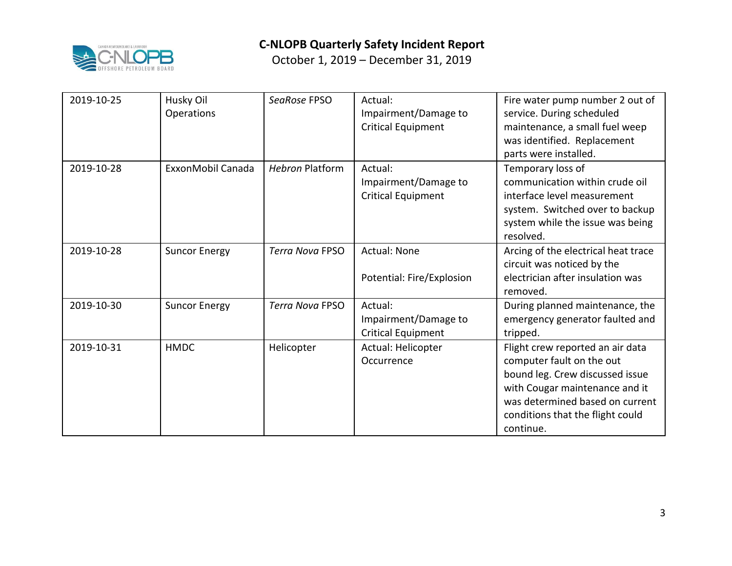

| 2019-10-25 | Husky Oil<br>Operations | SeaRose FPSO           | Actual:<br>Impairment/Damage to<br><b>Critical Equipment</b> | Fire water pump number 2 out of<br>service. During scheduled<br>maintenance, a small fuel weep<br>was identified. Replacement<br>parts were installed.                                                                 |
|------------|-------------------------|------------------------|--------------------------------------------------------------|------------------------------------------------------------------------------------------------------------------------------------------------------------------------------------------------------------------------|
| 2019-10-28 | ExxonMobil Canada       | <b>Hebron Platform</b> | Actual:<br>Impairment/Damage to<br><b>Critical Equipment</b> | Temporary loss of<br>communication within crude oil<br>interface level measurement<br>system. Switched over to backup<br>system while the issue was being<br>resolved.                                                 |
| 2019-10-28 | <b>Suncor Energy</b>    | <b>Terra Nova FPSO</b> | <b>Actual: None</b><br>Potential: Fire/Explosion             | Arcing of the electrical heat trace<br>circuit was noticed by the<br>electrician after insulation was<br>removed.                                                                                                      |
| 2019-10-30 | <b>Suncor Energy</b>    | <b>Terra Nova FPSO</b> | Actual:<br>Impairment/Damage to<br><b>Critical Equipment</b> | During planned maintenance, the<br>emergency generator faulted and<br>tripped.                                                                                                                                         |
| 2019-10-31 | <b>HMDC</b>             | Helicopter             | Actual: Helicopter<br>Occurrence                             | Flight crew reported an air data<br>computer fault on the out<br>bound leg. Crew discussed issue<br>with Cougar maintenance and it<br>was determined based on current<br>conditions that the flight could<br>continue. |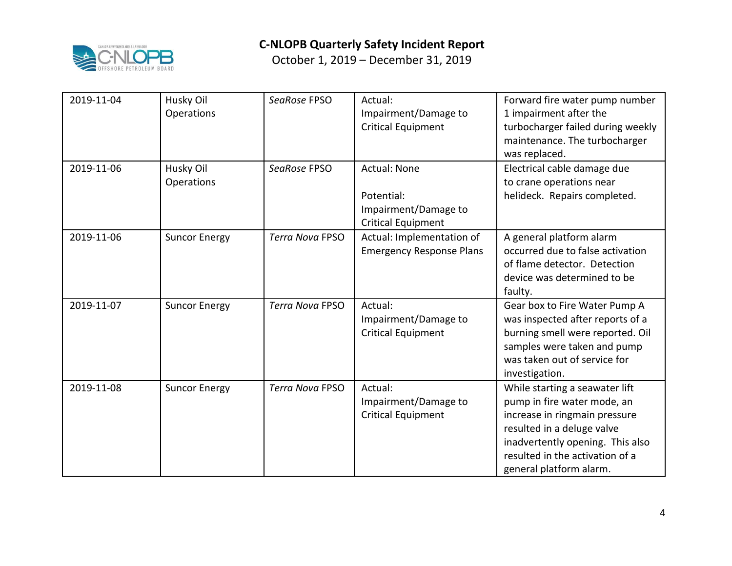

| 2019-11-04 | Husky Oil<br>Operations | SeaRose FPSO           | Actual:<br>Impairment/Damage to<br><b>Critical Equipment</b>                           | Forward fire water pump number<br>1 impairment after the<br>turbocharger failed during weekly<br>maintenance. The turbocharger<br>was replaced.                                                                                |
|------------|-------------------------|------------------------|----------------------------------------------------------------------------------------|--------------------------------------------------------------------------------------------------------------------------------------------------------------------------------------------------------------------------------|
| 2019-11-06 | Husky Oil<br>Operations | SeaRose FPSO           | <b>Actual: None</b><br>Potential:<br>Impairment/Damage to<br><b>Critical Equipment</b> | Electrical cable damage due<br>to crane operations near<br>helideck. Repairs completed.                                                                                                                                        |
| 2019-11-06 | <b>Suncor Energy</b>    | <b>Terra Nova FPSO</b> | Actual: Implementation of<br><b>Emergency Response Plans</b>                           | A general platform alarm<br>occurred due to false activation<br>of flame detector. Detection<br>device was determined to be<br>faulty.                                                                                         |
| 2019-11-07 | <b>Suncor Energy</b>    | <b>Terra Nova FPSO</b> | Actual:<br>Impairment/Damage to<br><b>Critical Equipment</b>                           | Gear box to Fire Water Pump A<br>was inspected after reports of a<br>burning smell were reported. Oil<br>samples were taken and pump<br>was taken out of service for<br>investigation.                                         |
| 2019-11-08 | <b>Suncor Energy</b>    | <b>Terra Nova FPSO</b> | Actual:<br>Impairment/Damage to<br><b>Critical Equipment</b>                           | While starting a seawater lift<br>pump in fire water mode, an<br>increase in ringmain pressure<br>resulted in a deluge valve<br>inadvertently opening. This also<br>resulted in the activation of a<br>general platform alarm. |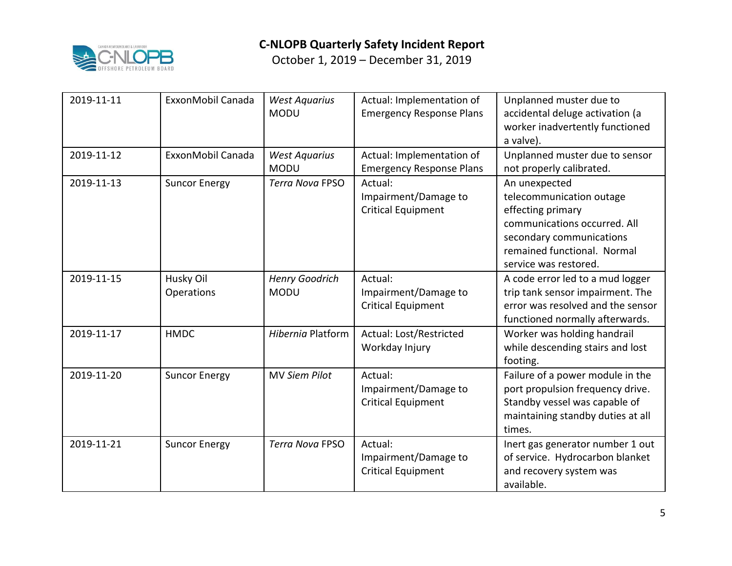

| 2019-11-11 | ExxonMobil Canada       | <b>West Aquarius</b><br><b>MODU</b>  | Actual: Implementation of<br><b>Emergency Response Plans</b> | Unplanned muster due to<br>accidental deluge activation (a<br>worker inadvertently functioned<br>a valve).                                                                         |
|------------|-------------------------|--------------------------------------|--------------------------------------------------------------|------------------------------------------------------------------------------------------------------------------------------------------------------------------------------------|
| 2019-11-12 | ExxonMobil Canada       | <b>West Aquarius</b><br><b>MODU</b>  | Actual: Implementation of<br><b>Emergency Response Plans</b> | Unplanned muster due to sensor<br>not properly calibrated.                                                                                                                         |
| 2019-11-13 | <b>Suncor Energy</b>    | <b>Terra Nova FPSO</b>               | Actual:<br>Impairment/Damage to<br><b>Critical Equipment</b> | An unexpected<br>telecommunication outage<br>effecting primary<br>communications occurred. All<br>secondary communications<br>remained functional. Normal<br>service was restored. |
| 2019-11-15 | Husky Oil<br>Operations | <b>Henry Goodrich</b><br><b>MODU</b> | Actual:<br>Impairment/Damage to<br><b>Critical Equipment</b> | A code error led to a mud logger<br>trip tank sensor impairment. The<br>error was resolved and the sensor<br>functioned normally afterwards.                                       |
| 2019-11-17 | <b>HMDC</b>             | Hibernia Platform                    | Actual: Lost/Restricted<br>Workday Injury                    | Worker was holding handrail<br>while descending stairs and lost<br>footing.                                                                                                        |
| 2019-11-20 | <b>Suncor Energy</b>    | <b>MV Siem Pilot</b>                 | Actual:<br>Impairment/Damage to<br><b>Critical Equipment</b> | Failure of a power module in the<br>port propulsion frequency drive.<br>Standby vessel was capable of<br>maintaining standby duties at all<br>times.                               |
| 2019-11-21 | <b>Suncor Energy</b>    | <b>Terra Nova FPSO</b>               | Actual:<br>Impairment/Damage to<br><b>Critical Equipment</b> | Inert gas generator number 1 out<br>of service. Hydrocarbon blanket<br>and recovery system was<br>available.                                                                       |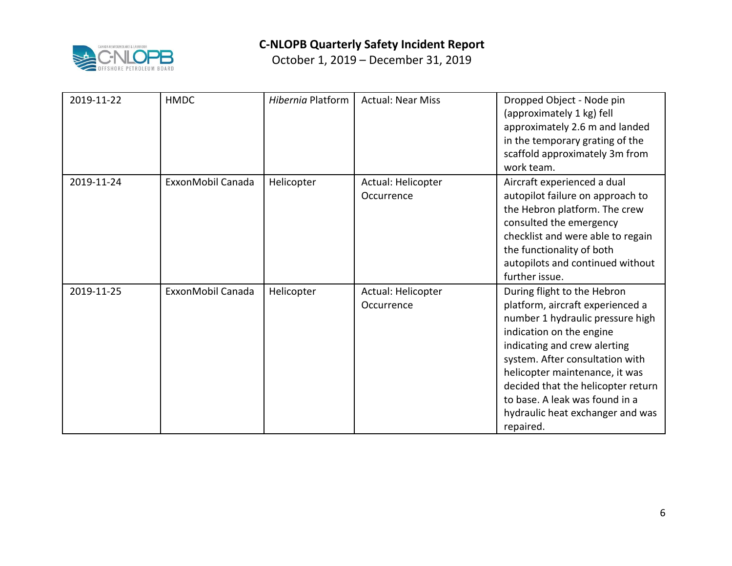

| 2019-11-22 | <b>HMDC</b>       | <b>Hibernia Platform</b> | <b>Actual: Near Miss</b>         | Dropped Object - Node pin<br>(approximately 1 kg) fell<br>approximately 2.6 m and landed<br>in the temporary grating of the<br>scaffold approximately 3m from<br>work team.                                                                                                                                                                                   |
|------------|-------------------|--------------------------|----------------------------------|---------------------------------------------------------------------------------------------------------------------------------------------------------------------------------------------------------------------------------------------------------------------------------------------------------------------------------------------------------------|
| 2019-11-24 | ExxonMobil Canada | Helicopter               | Actual: Helicopter<br>Occurrence | Aircraft experienced a dual<br>autopilot failure on approach to<br>the Hebron platform. The crew<br>consulted the emergency<br>checklist and were able to regain<br>the functionality of both<br>autopilots and continued without<br>further issue.                                                                                                           |
| 2019-11-25 | ExxonMobil Canada | Helicopter               | Actual: Helicopter<br>Occurrence | During flight to the Hebron<br>platform, aircraft experienced a<br>number 1 hydraulic pressure high<br>indication on the engine<br>indicating and crew alerting<br>system. After consultation with<br>helicopter maintenance, it was<br>decided that the helicopter return<br>to base. A leak was found in a<br>hydraulic heat exchanger and was<br>repaired. |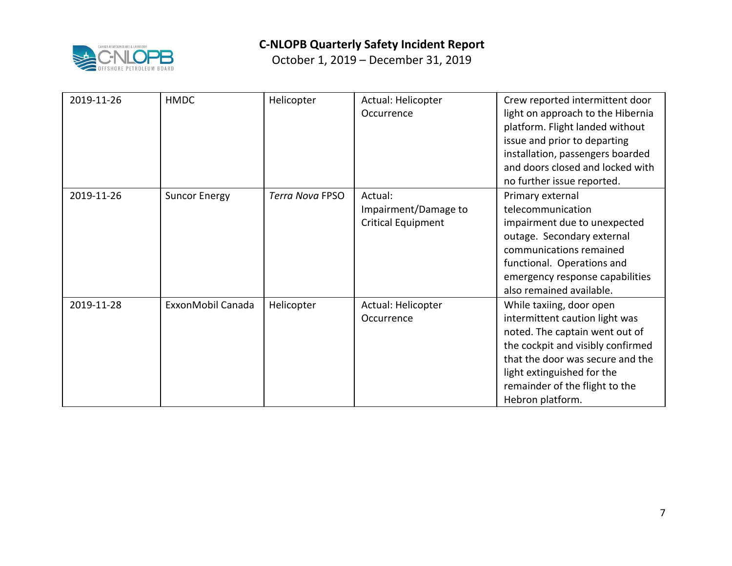

| 2019-11-26 | <b>HMDC</b>          | Helicopter      | Actual: Helicopter<br>Occurrence                             | Crew reported intermittent door<br>light on approach to the Hibernia<br>platform. Flight landed without<br>issue and prior to departing<br>installation, passengers boarded<br>and doors closed and locked with<br>no further issue reported.             |
|------------|----------------------|-----------------|--------------------------------------------------------------|-----------------------------------------------------------------------------------------------------------------------------------------------------------------------------------------------------------------------------------------------------------|
| 2019-11-26 | <b>Suncor Energy</b> | Terra Nova FPSO | Actual:<br>Impairment/Damage to<br><b>Critical Equipment</b> | Primary external<br>telecommunication<br>impairment due to unexpected<br>outage. Secondary external<br>communications remained<br>functional. Operations and<br>emergency response capabilities<br>also remained available.                               |
| 2019-11-28 | ExxonMobil Canada    | Helicopter      | Actual: Helicopter<br>Occurrence                             | While taxiing, door open<br>intermittent caution light was<br>noted. The captain went out of<br>the cockpit and visibly confirmed<br>that the door was secure and the<br>light extinguished for the<br>remainder of the flight to the<br>Hebron platform. |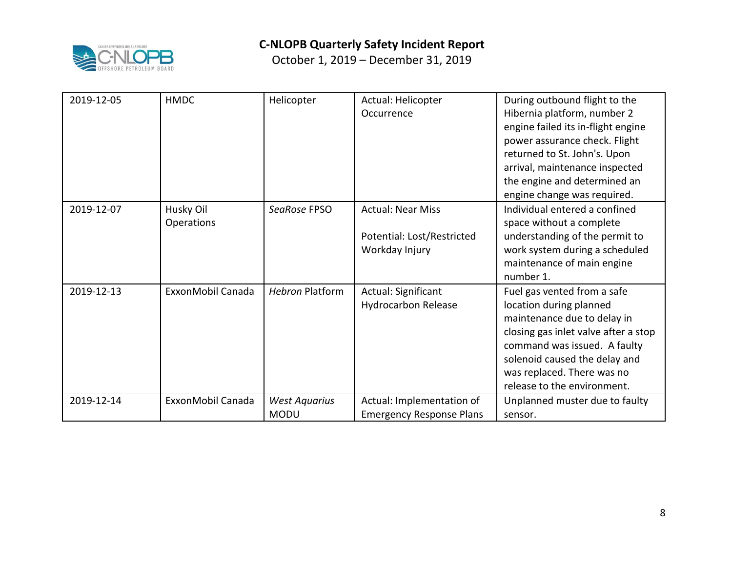

| 2019-12-05 | <b>HMDC</b>             | Helicopter                          | Actual: Helicopter<br>Occurrence                                         | During outbound flight to the<br>Hibernia platform, number 2<br>engine failed its in-flight engine<br>power assurance check. Flight<br>returned to St. John's. Upon<br>arrival, maintenance inspected<br>the engine and determined an<br>engine change was required. |
|------------|-------------------------|-------------------------------------|--------------------------------------------------------------------------|----------------------------------------------------------------------------------------------------------------------------------------------------------------------------------------------------------------------------------------------------------------------|
| 2019-12-07 | Husky Oil<br>Operations | SeaRose FPSO                        | <b>Actual: Near Miss</b><br>Potential: Lost/Restricted<br>Workday Injury | Individual entered a confined<br>space without a complete<br>understanding of the permit to<br>work system during a scheduled<br>maintenance of main engine<br>number 1.                                                                                             |
| 2019-12-13 | ExxonMobil Canada       | <b>Hebron Platform</b>              | Actual: Significant<br><b>Hydrocarbon Release</b>                        | Fuel gas vented from a safe<br>location during planned<br>maintenance due to delay in<br>closing gas inlet valve after a stop<br>command was issued. A faulty<br>solenoid caused the delay and<br>was replaced. There was no<br>release to the environment.          |
| 2019-12-14 | ExxonMobil Canada       | <b>West Aquarius</b><br><b>MODU</b> | Actual: Implementation of<br><b>Emergency Response Plans</b>             | Unplanned muster due to faulty<br>sensor.                                                                                                                                                                                                                            |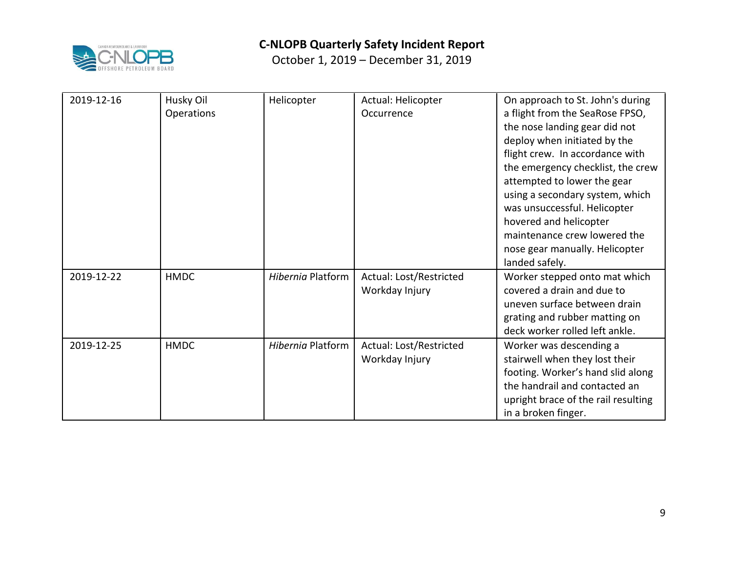

| 2019-12-16 | Husky Oil   | Helicopter        | Actual: Helicopter      | On approach to St. John's during    |
|------------|-------------|-------------------|-------------------------|-------------------------------------|
|            | Operations  |                   | Occurrence              | a flight from the SeaRose FPSO,     |
|            |             |                   |                         | the nose landing gear did not       |
|            |             |                   |                         | deploy when initiated by the        |
|            |             |                   |                         | flight crew. In accordance with     |
|            |             |                   |                         | the emergency checklist, the crew   |
|            |             |                   |                         | attempted to lower the gear         |
|            |             |                   |                         | using a secondary system, which     |
|            |             |                   |                         | was unsuccessful. Helicopter        |
|            |             |                   |                         | hovered and helicopter              |
|            |             |                   |                         | maintenance crew lowered the        |
|            |             |                   |                         | nose gear manually. Helicopter      |
|            |             |                   |                         | landed safely.                      |
| 2019-12-22 | <b>HMDC</b> | Hibernia Platform | Actual: Lost/Restricted | Worker stepped onto mat which       |
|            |             |                   | Workday Injury          | covered a drain and due to          |
|            |             |                   |                         | uneven surface between drain        |
|            |             |                   |                         | grating and rubber matting on       |
|            |             |                   |                         | deck worker rolled left ankle.      |
| 2019-12-25 | <b>HMDC</b> | Hibernia Platform | Actual: Lost/Restricted | Worker was descending a             |
|            |             |                   | Workday Injury          | stairwell when they lost their      |
|            |             |                   |                         | footing. Worker's hand slid along   |
|            |             |                   |                         | the handrail and contacted an       |
|            |             |                   |                         | upright brace of the rail resulting |
|            |             |                   |                         | in a broken finger.                 |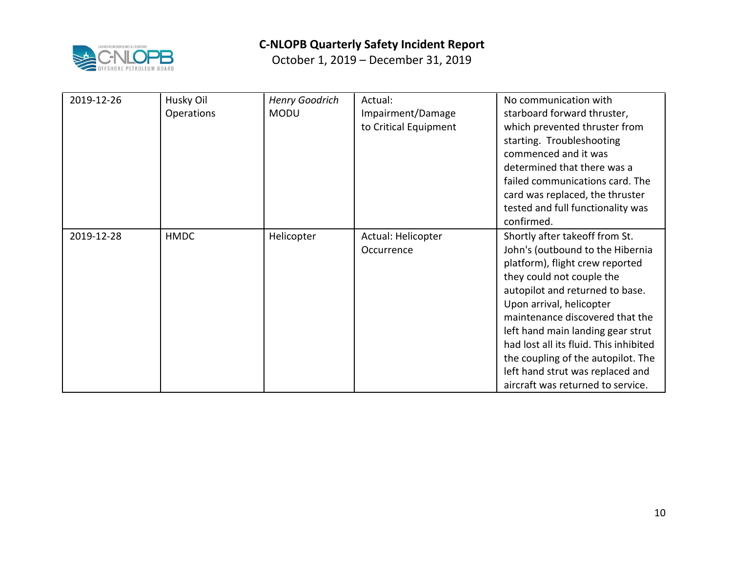

| 2019-12-26 | Husky Oil   | <b>Henry Goodrich</b> | Actual:               | No communication with                  |
|------------|-------------|-----------------------|-----------------------|----------------------------------------|
|            | Operations  | <b>MODU</b>           | Impairment/Damage     | starboard forward thruster,            |
|            |             |                       | to Critical Equipment | which prevented thruster from          |
|            |             |                       |                       | starting. Troubleshooting              |
|            |             |                       |                       | commenced and it was                   |
|            |             |                       |                       | determined that there was a            |
|            |             |                       |                       | failed communications card. The        |
|            |             |                       |                       | card was replaced, the thruster        |
|            |             |                       |                       | tested and full functionality was      |
|            |             |                       |                       | confirmed.                             |
| 2019-12-28 | <b>HMDC</b> | Helicopter            | Actual: Helicopter    | Shortly after takeoff from St.         |
|            |             |                       | Occurrence            | John's (outbound to the Hibernia       |
|            |             |                       |                       | platform), flight crew reported        |
|            |             |                       |                       | they could not couple the              |
|            |             |                       |                       | autopilot and returned to base.        |
|            |             |                       |                       | Upon arrival, helicopter               |
|            |             |                       |                       | maintenance discovered that the        |
|            |             |                       |                       | left hand main landing gear strut      |
|            |             |                       |                       | had lost all its fluid. This inhibited |
|            |             |                       |                       | the coupling of the autopilot. The     |
|            |             |                       |                       | left hand strut was replaced and       |
|            |             |                       |                       | aircraft was returned to service.      |
|            |             |                       |                       |                                        |